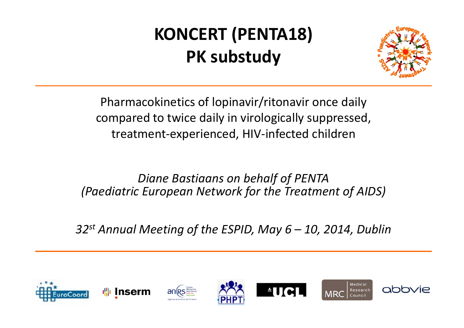# **KONCERT (PENTA18) PK substudy**



Pharmacokinetics of lopinavir/ritonavir once daily compared to twice daily in virologically suppressed, treatment‐experienced, HIV‐infected children

*Diane Bastiaans on behalf of PENTA (Paediatric European Network for the Treatment of AIDS)*

*32st Annual Meeting of the ESPID, May 6 – 10, 2014, Dublin*

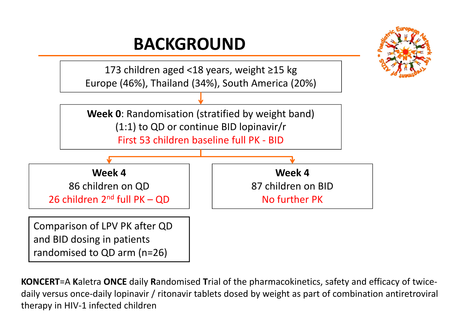#### **BACKGROUND**





**KONCERT**=A **K**aletra **ONCE** daily **R**andomised **T**rial of the pharmacokinetics, safety and efficacy of twice‐ daily versus once‐daily lopinavir / ritonavir tablets dosed by weight as part of combination antiretroviral therapy in HIV‐1 infected children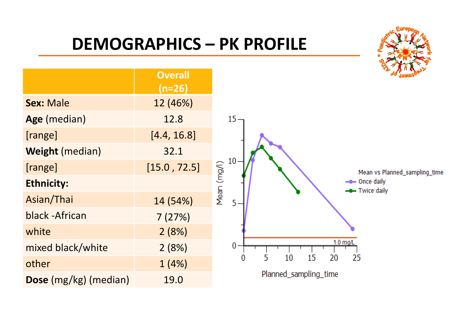#### **DEMOGRAPHICS – PK PROFILE**

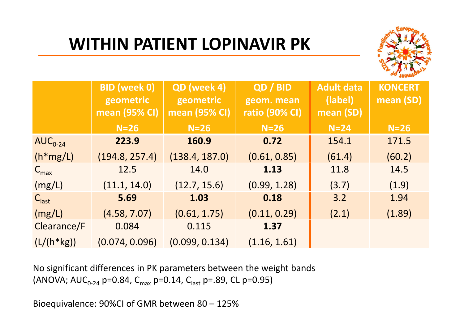## **WITHIN PATIENT LOPINAVIR PK**



|                   | <b>BID</b> (week 0)<br>geometric<br><b>mean (95% CI)</b> | QD (week 4)<br>geometric<br>mean (95% CI) | QD / BID<br>geom. mean<br><b>ratio (90% CI)</b> | <b>Adult data</b><br>(label)<br>mean (SD) | <b>KONCERT</b><br>mean (SD) |
|-------------------|----------------------------------------------------------|-------------------------------------------|-------------------------------------------------|-------------------------------------------|-----------------------------|
|                   | $N=26$                                                   | $N=26$                                    | $N=26$                                          | $N=24$                                    | $N=26$                      |
| $AUC_{0-24}$      | 223.9                                                    | 160.9                                     | 0.72                                            | 154.1                                     | 171.5                       |
| $(h*mg/L)$        | (194.8, 257.4)                                           | (138.4, 187.0)                            | (0.61, 0.85)                                    | (61.4)                                    | (60.2)                      |
| $C_{\text{max}}$  | 12.5                                                     | 14.0                                      | 1.13                                            | 11.8                                      | 14.5                        |
| (mg/L)            | (11.1, 14.0)                                             | (12.7, 15.6)                              | (0.99, 1.28)                                    | (3.7)                                     | (1.9)                       |
| $C_{\text{last}}$ | 5.69                                                     | 1.03                                      | 0.18                                            | 3.2                                       | 1.94                        |
| (mg/L)            | (4.58, 7.07)                                             | (0.61, 1.75)                              | (0.11, 0.29)                                    | (2.1)                                     | (1.89)                      |
| Clearance/F       | 0.084                                                    | 0.115                                     | 1.37                                            |                                           |                             |
| $(L/(h*kg))$      | (0.074, 0.096)                                           | (0.099, 0.134)                            | (1.16, 1.61)                                    |                                           |                             |

No significant differences in PK parameters between the weight bands (ANOVA; AUC<sub>0-24</sub> p=0.84, C<sub>max</sub> p=0.14, C<sub>last</sub> p=.89, CL p=0.95)

Bioequivalence: 90%CI of GMR between 80 – 125%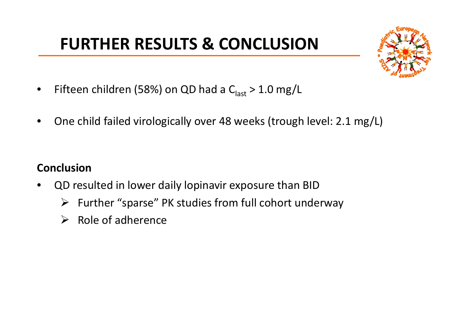### **FURTHER RESULTS & CONCLUSION**



- • $\bullet$  Fifteen children (58%) on QD had a C<sub>last</sub> > 1.0 mg/L
- •One child failed virologically over 48 weeks (trough level: 2.1 mg/L)

#### **Conclusion**

- • QD resulted in lower daily lopinavir exposure than BID
	- ¾ Further "sparse" PK studies from full cohort underway
	- $\triangleright$  Role of adherence